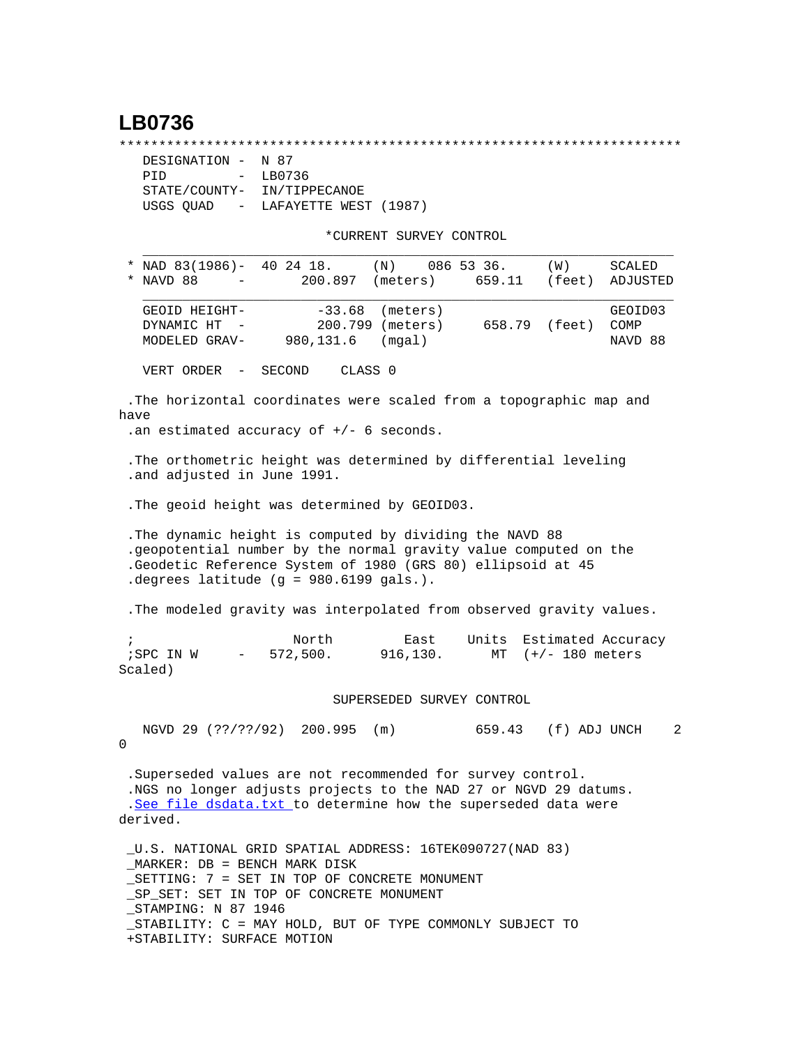## **LB0736**

\*\*\*\*\*\*\*\*\*\*\*\*\*\*\*\*\*\*\*\*\*\*\*\*\*\*\*\*\*\*\*\*\*\*\*\*\*\*\*\*\*\*\*\*\*\*\*\*\*\*\*\*\*\*\*\*\*\*\*\*\*\*\*\*\*\*\*\*\*\*\*

| DESIGNATION - N 87          |                                   |
|-----------------------------|-----------------------------------|
| PTD                         | $-$ LB0736                        |
| STATE/COUNTY- IN/TIPPECANOE |                                   |
|                             | USGS OUAD - LAFAYETTE WEST (1987) |

+STABILITY: SURFACE MOTION

\*CURRENT SURVEY CONTROL

| * NAD 83(1986)- 40 24 18.<br>086 53 36.<br>(N)<br>(W)<br>NAVD 88<br>200.897<br>(meters)<br>659.11<br>(feet)                                                                                                                                                            | SCALED<br>ADJUSTED |  |  |  |  |  |  |
|------------------------------------------------------------------------------------------------------------------------------------------------------------------------------------------------------------------------------------------------------------------------|--------------------|--|--|--|--|--|--|
| $-33.68$ (meters)<br>GEOID HEIGHT-                                                                                                                                                                                                                                     | GEOID03            |  |  |  |  |  |  |
| 200.799 (meters)<br>658.79 (feet)<br>DYNAMIC HT<br>980,131.6<br>MODELED GRAV-<br>(mqal)                                                                                                                                                                                | COMP<br>NAVD 88    |  |  |  |  |  |  |
| VERT ORDER -<br>CLASS <sub>0</sub><br>SECOND                                                                                                                                                                                                                           |                    |  |  |  |  |  |  |
| .The horizontal coordinates were scaled from a topographic map and<br>have<br>.an estimated accuracy of $+/-$ 6 seconds.                                                                                                                                               |                    |  |  |  |  |  |  |
|                                                                                                                                                                                                                                                                        |                    |  |  |  |  |  |  |
| . The orthometric height was determined by differential leveling<br>.and adjusted in June 1991.                                                                                                                                                                        |                    |  |  |  |  |  |  |
| . The geoid height was determined by GEOID03.                                                                                                                                                                                                                          |                    |  |  |  |  |  |  |
| . The dynamic height is computed by dividing the NAVD 88<br>.geopotential number by the normal gravity value computed on the<br>.Geodetic Reference System of 1980 (GRS 80) ellipsoid at 45<br>degrees latitude (g = $980.6199$ gals.).                                |                    |  |  |  |  |  |  |
| . The modeled gravity was interpolated from observed gravity values.                                                                                                                                                                                                   |                    |  |  |  |  |  |  |
| North<br>East<br>Units<br>$\ddot{i}$<br>572,500.<br>916,130.<br>;SPC IN W<br>$(+/- 180$ meters<br>MT<br>Scaled)                                                                                                                                                        | Estimated Accuracy |  |  |  |  |  |  |
| SUPERSEDED SURVEY CONTROL                                                                                                                                                                                                                                              |                    |  |  |  |  |  |  |
| NGVD 29 (??/??/92) 200.995 (m)<br>659.43 (f) ADJ UNCH<br>0                                                                                                                                                                                                             | 2                  |  |  |  |  |  |  |
| . Superseded values are not recommended for survey control.<br>.NGS no longer adjusts projects to the NAD 27 or NGVD 29 datums.<br>.See file dsdata.txt to determine how the superseded data were<br>derived.                                                          |                    |  |  |  |  |  |  |
| U.S. NATIONAL GRID SPATIAL ADDRESS: 16TEK090727(NAD 83)<br>MARKER: DB = BENCH MARK DISK<br>_SETTING: 7 = SET IN TOP OF CONCRETE MONUMENT<br>SP SET: SET IN TOP OF CONCRETE MONUMENT<br>STAMPING: N 87 1946<br>STABILITY: C = MAY HOLD, BUT OF TYPE COMMONLY SUBJECT TO |                    |  |  |  |  |  |  |